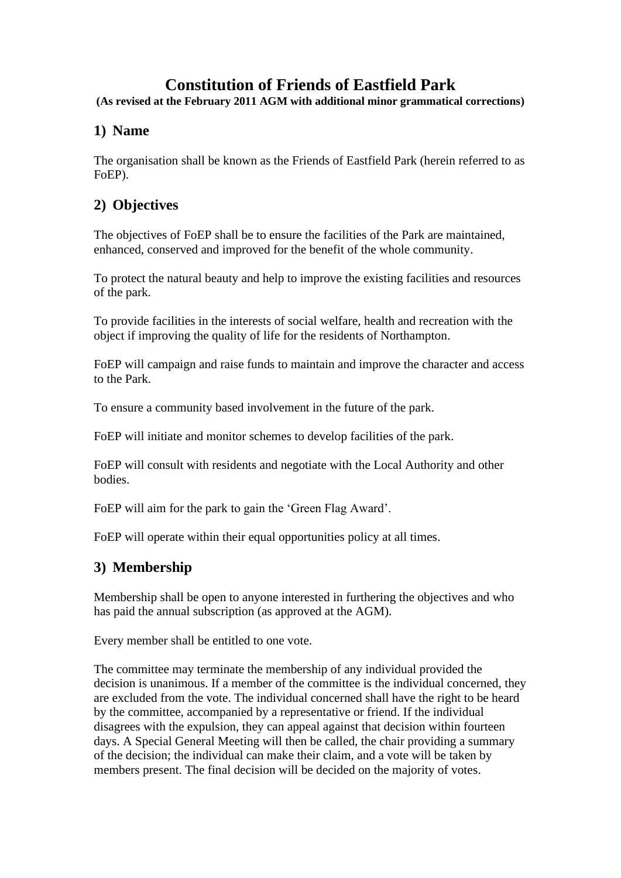# **Constitution of Friends of Eastfield Park**

**(As revised at the February 2011 AGM with additional minor grammatical corrections)**

#### **1) Name**

The organisation shall be known as the Friends of Eastfield Park (herein referred to as FoEP).

# **2) Objectives**

The objectives of FoEP shall be to ensure the facilities of the Park are maintained, enhanced, conserved and improved for the benefit of the whole community.

To protect the natural beauty and help to improve the existing facilities and resources of the park.

To provide facilities in the interests of social welfare, health and recreation with the object if improving the quality of life for the residents of Northampton.

FoEP will campaign and raise funds to maintain and improve the character and access to the Park.

To ensure a community based involvement in the future of the park.

FoEP will initiate and monitor schemes to develop facilities of the park.

FoEP will consult with residents and negotiate with the Local Authority and other bodies.

FoEP will aim for the park to gain the 'Green Flag Award'.

FoEP will operate within their equal opportunities policy at all times.

# **3) Membership**

Membership shall be open to anyone interested in furthering the objectives and who has paid the annual subscription (as approved at the AGM).

Every member shall be entitled to one vote.

The committee may terminate the membership of any individual provided the decision is unanimous. If a member of the committee is the individual concerned, they are excluded from the vote. The individual concerned shall have the right to be heard by the committee, accompanied by a representative or friend. If the individual disagrees with the expulsion, they can appeal against that decision within fourteen days. A Special General Meeting will then be called, the chair providing a summary of the decision; the individual can make their claim, and a vote will be taken by members present. The final decision will be decided on the majority of votes.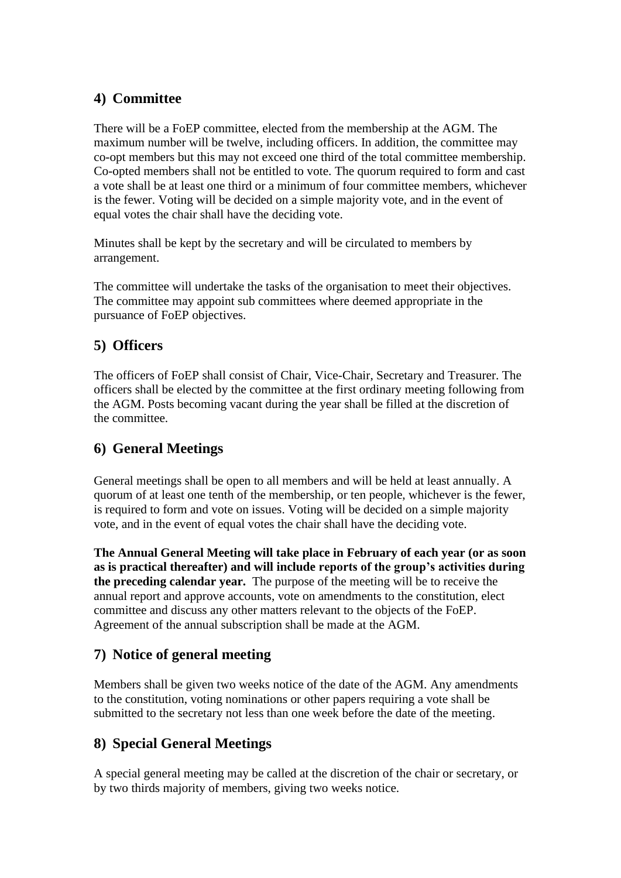#### **4) Committee**

There will be a FoEP committee, elected from the membership at the AGM. The maximum number will be twelve, including officers. In addition, the committee may co-opt members but this may not exceed one third of the total committee membership. Co-opted members shall not be entitled to vote. The quorum required to form and cast a vote shall be at least one third or a minimum of four committee members, whichever is the fewer. Voting will be decided on a simple majority vote, and in the event of equal votes the chair shall have the deciding vote.

Minutes shall be kept by the secretary and will be circulated to members by arrangement.

The committee will undertake the tasks of the organisation to meet their objectives. The committee may appoint sub committees where deemed appropriate in the pursuance of FoEP objectives.

# **5) Officers**

The officers of FoEP shall consist of Chair, Vice-Chair, Secretary and Treasurer. The officers shall be elected by the committee at the first ordinary meeting following from the AGM. Posts becoming vacant during the year shall be filled at the discretion of the committee.

# **6) General Meetings**

General meetings shall be open to all members and will be held at least annually. A quorum of at least one tenth of the membership, or ten people, whichever is the fewer, is required to form and vote on issues. Voting will be decided on a simple majority vote, and in the event of equal votes the chair shall have the deciding vote.

**The Annual General Meeting will take place in February of each year (or as soon as is practical thereafter) and will include reports of the group's activities during the preceding calendar year.** The purpose of the meeting will be to receive the annual report and approve accounts, vote on amendments to the constitution, elect committee and discuss any other matters relevant to the objects of the FoEP. Agreement of the annual subscription shall be made at the AGM.

#### **7) Notice of general meeting**

Members shall be given two weeks notice of the date of the AGM. Any amendments to the constitution, voting nominations or other papers requiring a vote shall be submitted to the secretary not less than one week before the date of the meeting.

# **8) Special General Meetings**

A special general meeting may be called at the discretion of the chair or secretary, or by two thirds majority of members, giving two weeks notice.